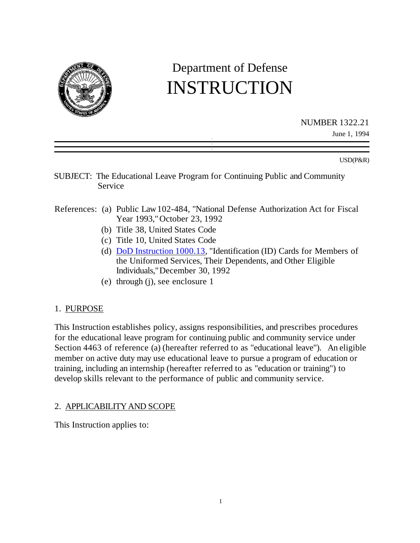

# Department of Defense INSTRUCTION

NUMBER 1322.21 June 1, 1994

USD(P&R)

- SUBJECT: The Educational Leave Program for Continuing Public and Community Service
- References: (a) Public Law 102-484, "National Defense Authorization Act for Fiscal Year 1993," October 23, 1992
	- (b) Title 38, United States Code
	- (c) Title 10, United States Code
	- (d) DoD Instruction 1000.13, "Identification (ID) Cards for Members of the Uniformed Services, Their Dependents, and Other Eligible Individuals," December 30, 1992
	- (e) through (j), see enclosure 1

# 1. PURPOSE

This Instruction establishes policy, assigns responsibilities, and prescribes procedures for the educational leave program for continuing public and community service under Section 4463 of reference (a) (hereafter referred to as "educational leave"). An eligible member on active duty may use educational leave to pursue a program of education or training, including an internship (hereafter referred to as "education or training") to develop skills relevant to the performance of public and community service.

# 2. APPLICABILITY AND SCOPE

This Instruction applies to: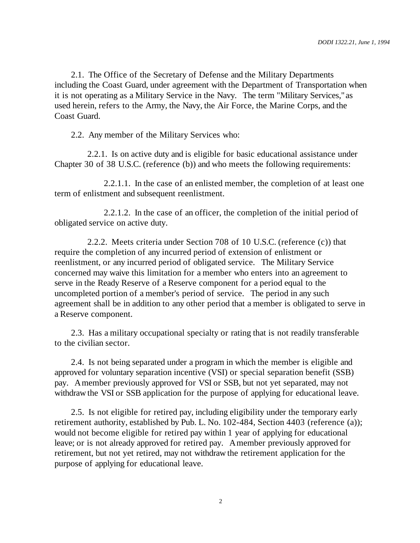2.1. The Office of the Secretary of Defense and the Military Departments including the Coast Guard, under agreement with the Department of Transportation when it is not operating as a Military Service in the Navy. The term "Military Services," as used herein, refers to the Army, the Navy, the Air Force, the Marine Corps, and the Coast Guard.

2.2. Any member of the Military Services who:

2.2.1. Is on active duty and is eligible for basic educational assistance under Chapter 30 of 38 U.S.C. (reference (b)) and who meets the following requirements:

2.2.1.1. In the case of an enlisted member, the completion of at least one term of enlistment and subsequent reenlistment.

2.2.1.2. In the case of an officer, the completion of the initial period of obligated service on active duty.

2.2.2. Meets criteria under Section 708 of 10 U.S.C. (reference (c)) that require the completion of any incurred period of extension of enlistment or reenlistment, or any incurred period of obligated service. The Military Service concerned may waive this limitation for a member who enters into an agreement to serve in the Ready Reserve of a Reserve component for a period equal to the uncompleted portion of a member's period of service. The period in any such agreement shall be in addition to any other period that a member is obligated to serve in a Reserve component.

2.3. Has a military occupational specialty or rating that is not readily transferable to the civilian sector.

2.4. Is not being separated under a program in which the member is eligible and approved for voluntary separation incentive (VSI) or special separation benefit (SSB) pay. A member previously approved for VSI or SSB, but not yet separated, may not withdraw the VSI or SSB application for the purpose of applying for educational leave.

2.5. Is not eligible for retired pay, including eligibility under the temporary early retirement authority, established by Pub. L. No. 102-484, Section 4403 (reference (a)); would not become eligible for retired pay within 1 year of applying for educational leave; or is not already approved for retired pay. A member previously approved for retirement, but not yet retired, may not withdraw the retirement application for the purpose of applying for educational leave.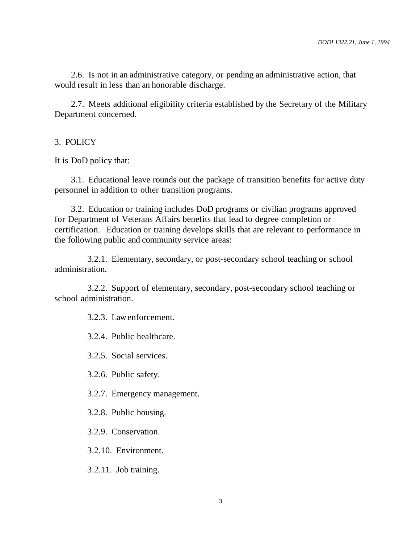2.6. Is not in an administrative category, or pending an administrative action, that would result in less than an honorable discharge.

2.7. Meets additional eligibility criteria established by the Secretary of the Military Department concerned.

### 3. POLICY

It is DoD policy that:

3.1. Educational leave rounds out the package of transition benefits for active duty personnel in addition to other transition programs.

3.2. Education or training includes DoD programs or civilian programs approved for Department of Veterans Affairs benefits that lead to degree completion or certification. Education or training develops skills that are relevant to performance in the following public and community service areas:

3.2.1. Elementary, secondary, or post-secondary school teaching or school administration.

3.2.2. Support of elementary, secondary, post-secondary school teaching or school administration.

3.2.3. Law enforcement.

3.2.4. Public healthcare.

3.2.5. Social services.

3.2.6. Public safety.

3.2.7. Emergency management.

3.2.8. Public housing.

3.2.9. Conservation.

3.2.10. Environment.

3.2.11. Job training.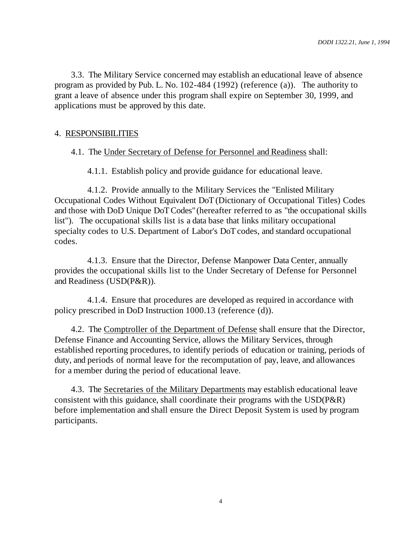3.3. The Military Service concerned may establish an educational leave of absence program as provided by Pub. L. No. 102-484 (1992) (reference (a)). The authority to grant a leave of absence under this program shall expire on September 30, 1999, and applications must be approved by this date.

### 4. RESPONSIBILITIES

#### 4.1. The Under Secretary of Defense for Personnel and Readiness shall:

4.1.1. Establish policy and provide guidance for educational leave.

4.1.2. Provide annually to the Military Services the "Enlisted Military Occupational Codes Without Equivalent DoT (Dictionary of Occupational Titles) Codes and those with DoD Unique DoT Codes" (hereafter referred to as "the occupational skills list"). The occupational skills list is a data base that links military occupational specialty codes to U.S. Department of Labor's DoT codes, and standard occupational codes.

4.1.3. Ensure that the Director, Defense Manpower Data Center, annually provides the occupational skills list to the Under Secretary of Defense for Personnel and Readiness (USD(P&R)).

4.1.4. Ensure that procedures are developed as required in accordance with policy prescribed in DoD Instruction 1000.13 (reference (d)).

4.2. The Comptroller of the Department of Defense shall ensure that the Director, Defense Finance and Accounting Service, allows the Military Services, through established reporting procedures, to identify periods of education or training, periods of duty, and periods of normal leave for the recomputation of pay, leave, and allowances for a member during the period of educational leave.

4.3. The Secretaries of the Military Departments may establish educational leave consistent with this guidance, shall coordinate their programs with the USD(P&R) before implementation and shall ensure the Direct Deposit System is used by program participants.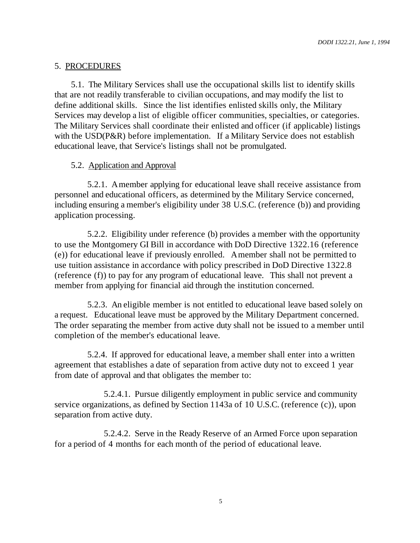## 5. PROCEDURES

5.1. The Military Services shall use the occupational skills list to identify skills that are not readily transferable to civilian occupations, and may modify the list to define additional skills. Since the list identifies enlisted skills only, the Military Services may develop a list of eligible officer communities, specialties, or categories. The Military Services shall coordinate their enlisted and officer (if applicable) listings with the USD(P&R) before implementation. If a Military Service does not establish educational leave, that Service's listings shall not be promulgated.

## 5.2. Application and Approval

5.2.1. A member applying for educational leave shall receive assistance from personnel and educational officers, as determined by the Military Service concerned, including ensuring a member's eligibility under 38 U.S.C. (reference (b)) and providing application processing.

5.2.2. Eligibility under reference (b) provides a member with the opportunity to use the Montgomery GI Bill in accordance with DoD Directive 1322.16 (reference (e)) for educational leave if previously enrolled. A member shall not be permitted to use tuition assistance in accordance with policy prescribed in DoD Directive 1322.8 (reference (f)) to pay for any program of educational leave. This shall not prevent a member from applying for financial aid through the institution concerned.

5.2.3. An eligible member is not entitled to educational leave based solely on a request. Educational leave must be approved by the Military Department concerned. The order separating the member from active duty shall not be issued to a member until completion of the member's educational leave.

5.2.4. If approved for educational leave, a member shall enter into a written agreement that establishes a date of separation from active duty not to exceed 1 year from date of approval and that obligates the member to:

5.2.4.1. Pursue diligently employment in public service and community service organizations, as defined by Section 1143a of 10 U.S.C. (reference (c)), upon separation from active duty.

5.2.4.2. Serve in the Ready Reserve of an Armed Force upon separation for a period of 4 months for each month of the period of educational leave.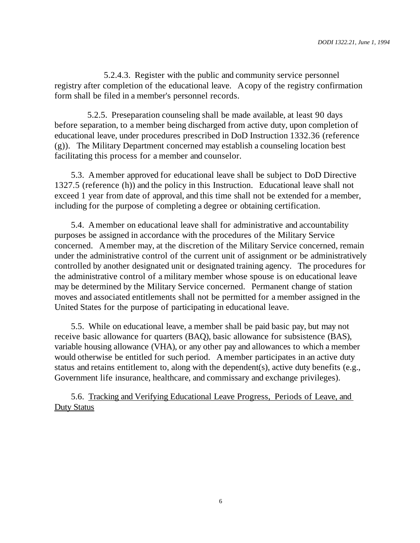5.2.4.3. Register with the public and community service personnel registry after completion of the educational leave. A copy of the registry confirmation form shall be filed in a member's personnel records.

5.2.5. Preseparation counseling shall be made available, at least 90 days before separation, to a member being discharged from active duty, upon completion of educational leave, under procedures prescribed in DoD Instruction 1332.36 (reference (g)). The Military Department concerned may establish a counseling location best facilitating this process for a member and counselor.

5.3. A member approved for educational leave shall be subject to DoD Directive 1327.5 (reference (h)) and the policy in this Instruction. Educational leave shall not exceed 1 year from date of approval, and this time shall not be extended for a member, including for the purpose of completing a degree or obtaining certification.

5.4. A member on educational leave shall for administrative and accountability purposes be assigned in accordance with the procedures of the Military Service concerned. A member may, at the discretion of the Military Service concerned, remain under the administrative control of the current unit of assignment or be administratively controlled by another designated unit or designated training agency. The procedures for the administrative control of a military member whose spouse is on educational leave may be determined by the Military Service concerned. Permanent change of station moves and associated entitlements shall not be permitted for a member assigned in the United States for the purpose of participating in educational leave.

5.5. While on educational leave, a member shall be paid basic pay, but may not receive basic allowance for quarters (BAQ), basic allowance for subsistence (BAS), variable housing allowance (VHA), or any other pay and allowances to which a member would otherwise be entitled for such period. A member participates in an active duty status and retains entitlement to, along with the dependent(s), active duty benefits (e.g., Government life insurance, healthcare, and commissary and exchange privileges).

5.6. Tracking and Verifying Educational Leave Progress, Periods of Leave, and Duty Status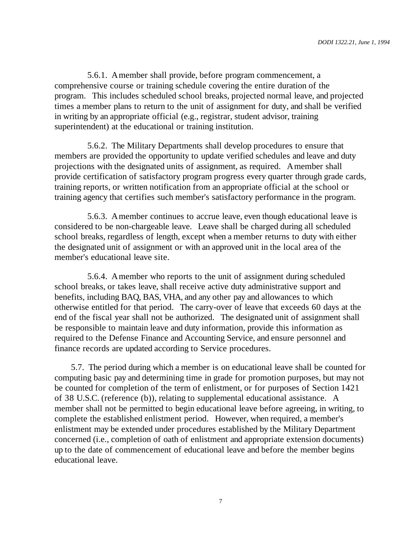5.6.1. A member shall provide, before program commencement, a comprehensive course or training schedule covering the entire duration of the program. This includes scheduled school breaks, projected normal leave, and projected times a member plans to return to the unit of assignment for duty, and shall be verified in writing by an appropriate official (e.g., registrar, student advisor, training superintendent) at the educational or training institution.

5.6.2. The Military Departments shall develop procedures to ensure that members are provided the opportunity to update verified schedules and leave and duty projections with the designated units of assignment, as required. A member shall provide certification of satisfactory program progress every quarter through grade cards, training reports, or written notification from an appropriate official at the school or training agency that certifies such member's satisfactory performance in the program.

5.6.3. A member continues to accrue leave, even though educational leave is considered to be non-chargeable leave. Leave shall be charged during all scheduled school breaks, regardless of length, except when a member returns to duty with either the designated unit of assignment or with an approved unit in the local area of the member's educational leave site.

5.6.4. A member who reports to the unit of assignment during scheduled school breaks, or takes leave, shall receive active duty administrative support and benefits, including BAQ, BAS, VHA, and any other pay and allowances to which otherwise entitled for that period. The carry-over of leave that exceeds 60 days at the end of the fiscal year shall not be authorized. The designated unit of assignment shall be responsible to maintain leave and duty information, provide this information as required to the Defense Finance and Accounting Service, and ensure personnel and finance records are updated according to Service procedures.

5.7. The period during which a member is on educational leave shall be counted for computing basic pay and determining time in grade for promotion purposes, but may not be counted for completion of the term of enlistment, or for purposes of Section 1421 of 38 U.S.C. (reference (b)), relating to supplemental educational assistance. A member shall not be permitted to begin educational leave before agreeing, in writing, to complete the established enlistment period. However, when required, a member's enlistment may be extended under procedures established by the Military Department concerned (i.e., completion of oath of enlistment and appropriate extension documents) up to the date of commencement of educational leave and before the member begins educational leave.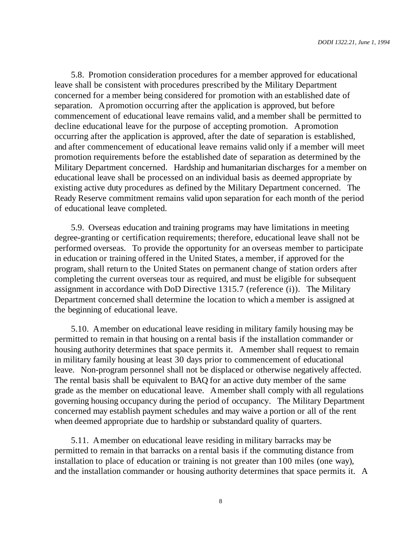5.8. Promotion consideration procedures for a member approved for educational leave shall be consistent with procedures prescribed by the Military Department concerned for a member being considered for promotion with an established date of separation. A promotion occurring after the application is approved, but before commencement of educational leave remains valid, and a member shall be permitted to decline educational leave for the purpose of accepting promotion. A promotion occurring after the application is approved, after the date of separation is established, and after commencement of educational leave remains valid only if a member will meet promotion requirements before the established date of separation as determined by the Military Department concerned. Hardship and humanitarian discharges for a member on educational leave shall be processed on an individual basis as deemed appropriate by existing active duty procedures as defined by the Military Department concerned. The Ready Reserve commitment remains valid upon separation for each month of the period of educational leave completed.

5.9. Overseas education and training programs may have limitations in meeting degree-granting or certification requirements; therefore, educational leave shall not be performed overseas. To provide the opportunity for an overseas member to participate in education or training offered in the United States, a member, if approved for the program, shall return to the United States on permanent change of station orders after completing the current overseas tour as required, and must be eligible for subsequent assignment in accordance with DoD Directive 1315.7 (reference (i)). The Military Department concerned shall determine the location to which a member is assigned at the beginning of educational leave.

5.10. A member on educational leave residing in military family housing may be permitted to remain in that housing on a rental basis if the installation commander or housing authority determines that space permits it. A member shall request to remain in military family housing at least 30 days prior to commencement of educational leave. Non-program personnel shall not be displaced or otherwise negatively affected. The rental basis shall be equivalent to BAQ for an active duty member of the same grade as the member on educational leave. A member shall comply with all regulations governing housing occupancy during the period of occupancy. The Military Department concerned may establish payment schedules and may waive a portion or all of the rent when deemed appropriate due to hardship or substandard quality of quarters.

5.11. A member on educational leave residing in military barracks may be permitted to remain in that barracks on a rental basis if the commuting distance from installation to place of education or training is not greater than 100 miles (one way), and the installation commander or housing authority determines that space permits it. A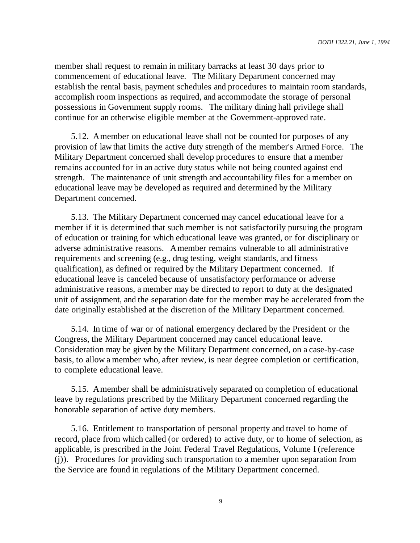member shall request to remain in military barracks at least 30 days prior to commencement of educational leave. The Military Department concerned may establish the rental basis, payment schedules and procedures to maintain room standards, accomplish room inspections as required, and accommodate the storage of personal possessions in Government supply rooms. The military dining hall privilege shall continue for an otherwise eligible member at the Government-approved rate.

5.12. A member on educational leave shall not be counted for purposes of any provision of law that limits the active duty strength of the member's Armed Force. The Military Department concerned shall develop procedures to ensure that a member remains accounted for in an active duty status while not being counted against end strength. The maintenance of unit strength and accountability files for a member on educational leave may be developed as required and determined by the Military Department concerned.

5.13. The Military Department concerned may cancel educational leave for a member if it is determined that such member is not satisfactorily pursuing the program of education or training for which educational leave was granted, or for disciplinary or adverse administrative reasons. A member remains vulnerable to all administrative requirements and screening (e.g., drug testing, weight standards, and fitness qualification), as defined or required by the Military Department concerned. If educational leave is canceled because of unsatisfactory performance or adverse administrative reasons, a member may be directed to report to duty at the designated unit of assignment, and the separation date for the member may be accelerated from the date originally established at the discretion of the Military Department concerned.

5.14. In time of war or of national emergency declared by the President or the Congress, the Military Department concerned may cancel educational leave. Consideration may be given by the Military Department concerned, on a case-by-case basis, to allow a member who, after review, is near degree completion or certification, to complete educational leave.

5.15. A member shall be administratively separated on completion of educational leave by regulations prescribed by the Military Department concerned regarding the honorable separation of active duty members.

5.16. Entitlement to transportation of personal property and travel to home of record, place from which called (or ordered) to active duty, or to home of selection, as applicable, is prescribed in the Joint Federal Travel Regulations, Volume I (reference (j)). Procedures for providing such transportation to a member upon separation from the Service are found in regulations of the Military Department concerned.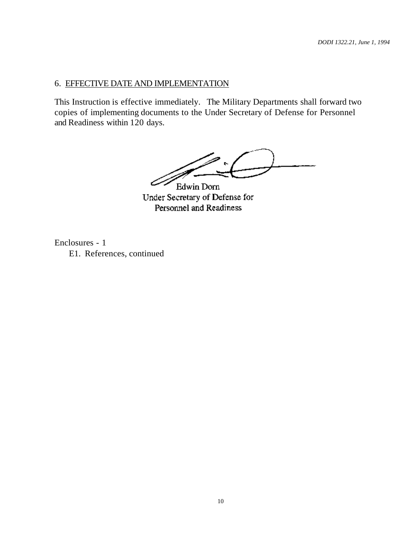# 6. EFFECTIVE DATE AND IMPLEMENTATION

This Instruction is effective immediately. The Military Departments shall forward two copies of implementing documents to the Under Secretary of Defense for Personnel and Readiness within 120 days.

 $\sim$ 

Edwin Dorn Under Secretary of Defense for Personnel and Readiness

Enclosures - 1 E1. References, continued